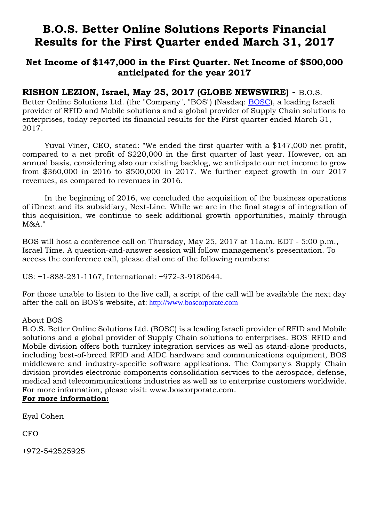# **B.O.S. Better Online Solutions Reports Financial Results for the First Quarter ended March 31, 2017**

## **Net Income of \$147,000 in the First Quarter. Net Income of \$500,000 anticipated for the year 2017**

### **RISHON LEZION, Israel, May 25, 2017 (GLOBE NEWSWIRE) -** B.O.S.

Better Online Solutions Ltd. (the "Company", "BOS") (Nasdaq: BOSC), a leading Israeli provider of RFID and Mobile solutions and a global provider of Supply Chain solutions to enterprises, today reported its financial results for the First quarter ended March 31, 2017.

Yuval Viner, CEO, stated: "We ended the first quarter with a \$147,000 net profit, compared to a net profit of \$220,000 in the first quarter of last year. However, on an annual basis, considering also our existing backlog, we anticipate our net income to grow from \$360,000 in 2016 to \$500,000 in 2017. We further expect growth in our 2017 revenues, as compared to revenues in 2016.

In the beginning of 2016, we concluded the acquisition of the business operations of iDnext and its subsidiary, Next-Line. While we are in the final stages of integration of this acquisition, we continue to seek additional growth opportunities, mainly through M&A."

BOS will host a conference call on Thursday, May 25, 2017 at 11a.m. EDT - 5:00 p.m., Israel Time. A question-and-answer session will follow management's presentation. To access the conference call, please dial one of the following numbers:

US: +1-888-281-1167, International: +972-3-9180644.

For those unable to listen to the live call, a script of the call will be available the next day after the call on BOS's website, at: [http://www.boscorporate.com](https://www.globenewswire.com/Tracker?data=VbTLyGWak_JL_GUUNd4pL0bXc_z2MdknBXY1JEDHGCLvxDNuS9f4M7ieCJdBvm43jdw4Cy-8HnNQN3QVIq3_bN3uGNR7s8mxAWTMK2mDN6Y=)

### About BOS

B.O.S. Better Online Solutions Ltd. (BOSC) is a leading Israeli provider of RFID and Mobile solutions and a global provider of Supply Chain solutions to enterprises. BOS' RFID and Mobile division offers both turnkey integration services as well as stand-alone products, including best-of-breed RFID and AIDC hardware and communications equipment, BOS middleware and industry-specific software applications. The Company's Supply Chain division provides electronic components consolidation services to the aerospace, defense, medical and telecommunications industries as well as to enterprise customers worldwide. For more information, please visit: [www.boscorporate.com.](https://www.globenewswire.com/Tracker?data=HuHVyYFS9jxWhy3EFwtz-VDEADuNMjqoGpMbWuxR0Lw1Z3OM3M4f3MOTQeLdBz5Gko2f6JrA0yXiFco9oPRMQHwCRPT9hF3PPsI7jmN1lIA=)

### **For more information:**

Eyal Cohen

CFO

+972-542525925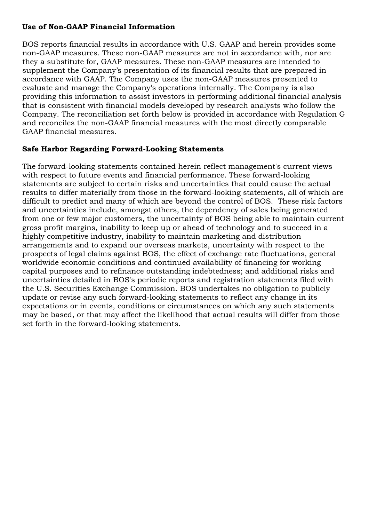### **Use of Non-GAAP Financial Information**

BOS reports financial results in accordance with U.S. GAAP and herein provides some non-GAAP measures. These non-GAAP measures are not in accordance with, nor are they a substitute for, GAAP measures. These non-GAAP measures are intended to supplement the Company's presentation of its financial results that are prepared in accordance with GAAP. The Company uses the non-GAAP measures presented to evaluate and manage the Company's operations internally. The Company is also providing this information to assist investors in performing additional financial analysis that is consistent with financial models developed by research analysts who follow the Company. The reconciliation set forth below is provided in accordance with Regulation G and reconciles the non-GAAP financial measures with the most directly comparable GAAP financial measures.

### **Safe Harbor Regarding Forward-Looking Statements**

The forward-looking statements contained herein reflect management's current views with respect to future events and financial performance. These forward-looking statements are subject to certain risks and uncertainties that could cause the actual results to differ materially from those in the forward-looking statements, all of which are difficult to predict and many of which are beyond the control of BOS. These risk factors and uncertainties include, amongst others, the dependency of sales being generated from one or few major customers, the uncertainty of BOS being able to maintain current gross profit margins, inability to keep up or ahead of technology and to succeed in a highly competitive industry, inability to maintain marketing and distribution arrangements and to expand our overseas markets, uncertainty with respect to the prospects of legal claims against BOS, the effect of exchange rate fluctuations, general worldwide economic conditions and continued availability of financing for working capital purposes and to refinance outstanding indebtedness; and additional risks and uncertainties detailed in BOS's periodic reports and registration statements filed with the U.S. Securities Exchange Commission. BOS undertakes no obligation to publicly update or revise any such forward-looking statements to reflect any change in its expectations or in events, conditions or circumstances on which any such statements may be based, or that may affect the likelihood that actual results will differ from those set forth in the forward-looking statements.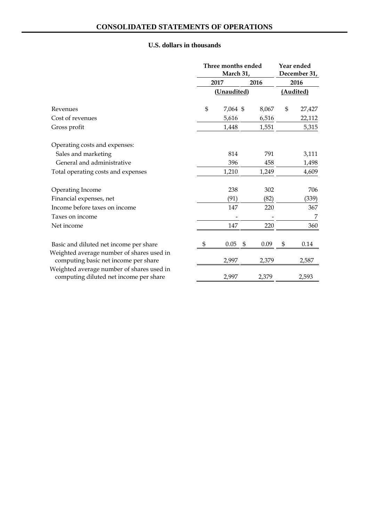|                                                                                     | Three months ended<br>March 31, |          |    | Year ended<br>December 31, |      |           |
|-------------------------------------------------------------------------------------|---------------------------------|----------|----|----------------------------|------|-----------|
|                                                                                     | 2017                            |          |    | 2016                       | 2016 |           |
|                                                                                     | (Unaudited)                     |          |    |                            |      | (Audited) |
| Revenues                                                                            | $\mathfrak{S}$                  | 7,064 \$ |    | 8,067                      | \$   | 27,427    |
| Cost of revenues                                                                    |                                 | 5,616    |    | 6,516                      |      | 22,112    |
| Gross profit                                                                        |                                 | 1,448    |    | 1,551                      |      | 5,315     |
| Operating costs and expenses:                                                       |                                 |          |    |                            |      |           |
| Sales and marketing                                                                 |                                 | 814      |    | 791                        |      | 3,111     |
| General and administrative                                                          |                                 | 396      |    | 458                        |      | 1,498     |
| Total operating costs and expenses                                                  |                                 | 1,210    |    | 1,249                      |      | 4,609     |
| Operating Income                                                                    |                                 | 238      |    | 302                        |      | 706       |
| Financial expenses, net                                                             |                                 | (91)     |    | (82)                       |      | (339)     |
| Income before taxes on income                                                       |                                 | 147      |    | 220                        |      | 367       |
| Taxes on income                                                                     |                                 |          |    |                            |      | 7         |
| Net income                                                                          |                                 | 147      |    | 220                        |      | 360       |
| Basic and diluted net income per share                                              | \$                              | 0.05     | \$ | 0.09                       | \$   | 0.14      |
| Weighted average number of shares used in<br>computing basic net income per share   |                                 | 2,997    |    | 2,379                      |      | 2,587     |
| Weighted average number of shares used in<br>computing diluted net income per share |                                 | 2,997    |    | 2,379                      |      | 2,593     |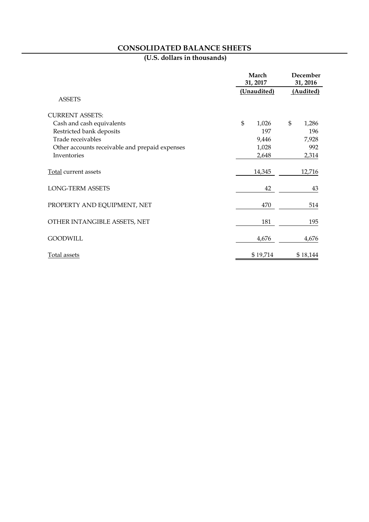## **CONSOLIDATED BALANCE SHEETS**

|                                                | March<br>31, 2017 | December<br>31, 2016<br>(Audited) |    |          |
|------------------------------------------------|-------------------|-----------------------------------|----|----------|
|                                                | (Unaudited)       |                                   |    |          |
| <b>ASSETS</b>                                  |                   |                                   |    |          |
| <b>CURRENT ASSETS:</b>                         |                   |                                   |    |          |
| Cash and cash equivalents                      | $\mathfrak{S}$    | 1,026                             | \$ | 1,286    |
| Restricted bank deposits                       |                   | 197                               |    | 196      |
| Trade receivables                              |                   | 9,446                             |    | 7,928    |
| Other accounts receivable and prepaid expenses |                   | 1,028                             |    | 992      |
| Inventories                                    |                   | 2,648                             |    | 2,314    |
| Total current assets                           |                   | 14,345                            |    | 12,716   |
| <b>LONG-TERM ASSETS</b>                        |                   | 42                                |    | 43       |
| PROPERTY AND EQUIPMENT, NET                    |                   | 470                               |    | 514      |
| OTHER INTANGIBLE ASSETS, NET                   |                   | 181                               |    | 195      |
| <b>GOODWILL</b>                                |                   | 4,676                             |    | 4,676    |
| Total assets                                   |                   | \$19,714                          |    | \$18,144 |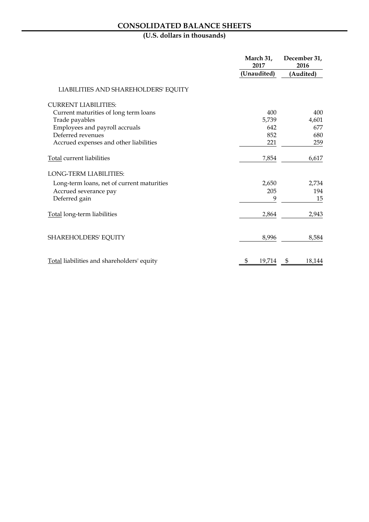## **CONSOLIDATED BALANCE SHEETS**

|                                            | March 31,<br>2017 | December 31,<br>2016 |  |
|--------------------------------------------|-------------------|----------------------|--|
|                                            | (Unaudited)       | (Audited)            |  |
| LIABILITIES AND SHAREHOLDERS' EQUITY       |                   |                      |  |
| <b>CURRENT LIABILITIES:</b>                |                   |                      |  |
| Current maturities of long term loans      | 400               | 400                  |  |
| Trade payables                             | 5,739             | 4,601                |  |
| Employees and payroll accruals             | 642               | 677                  |  |
| Deferred revenues                          | 852               | 680                  |  |
| Accrued expenses and other liabilities     | 221               | 259                  |  |
| <b>Total current liabilities</b>           | 7,854             | 6,617                |  |
| <b>LONG-TERM LIABILITIES:</b>              |                   |                      |  |
| Long-term loans, net of current maturities | 2,650             | 2,734                |  |
| Accrued severance pay                      | 205               | 194                  |  |
| Deferred gain                              | 9                 | 15                   |  |
| Total long-term liabilities                | 2,864             | 2,943                |  |
| SHAREHOLDERS' EQUITY                       | 8,996             | 8,584                |  |
| Total liabilities and shareholders' equity | \$<br>19,714      | \$<br>18,144         |  |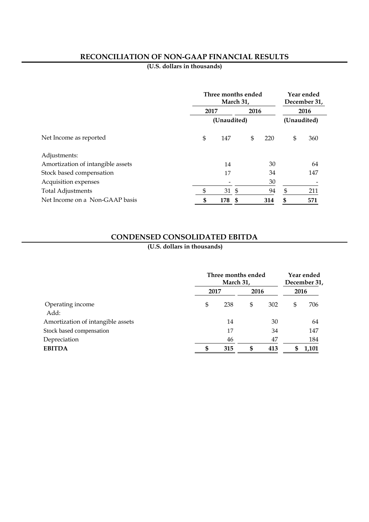### **RECONCILIATION OF NON-GAAP FINANCIAL RESULTS**

**(U.S. dollars in thousands)**

|                                   | Three months ended<br>March 31, |       |      |      | Year ended<br>December 31, |     |  |
|-----------------------------------|---------------------------------|-------|------|------|----------------------------|-----|--|
|                                   | 2017                            |       |      | 2016 | 2016                       |     |  |
|                                   | (Unaudited)                     |       |      |      | (Unaudited)                |     |  |
| Net Income as reported            | \$                              | 147   | \$   | 220  | \$                         | 360 |  |
| Adjustments:                      |                                 |       |      |      |                            |     |  |
| Amortization of intangible assets |                                 | 14    |      | 30   |                            | 64  |  |
| Stock based compensation          |                                 | 17    |      | 34   |                            | 147 |  |
| Acquisition expenses              |                                 |       |      | 30   |                            |     |  |
| <b>Total Adjustments</b>          | \$                              | 31 \$ |      | 94   | \$                         | 211 |  |
| Net Income on a Non-GAAP basis    | \$                              | 178   | - \$ | 314  | \$                         | 571 |  |

### **CONDENSED CONSOLIDATED EBITDA**

|                                   | Three months ended<br>March 31, |     |      |     | Year ended<br>December 31, |       |  |
|-----------------------------------|---------------------------------|-----|------|-----|----------------------------|-------|--|
|                                   | 2017                            |     | 2016 |     | 2016                       |       |  |
| Operating income<br>Add:          | \$                              | 238 | \$   | 302 | \$                         | 706   |  |
| Amortization of intangible assets |                                 | 14  |      | 30  |                            | 64    |  |
| Stock based compensation          |                                 | 17  |      | 34  |                            | 147   |  |
| Depreciation                      |                                 | 46  |      | 47  |                            | 184   |  |
| <b>EBITDA</b>                     | S                               | 315 | \$   | 413 |                            | 1,101 |  |